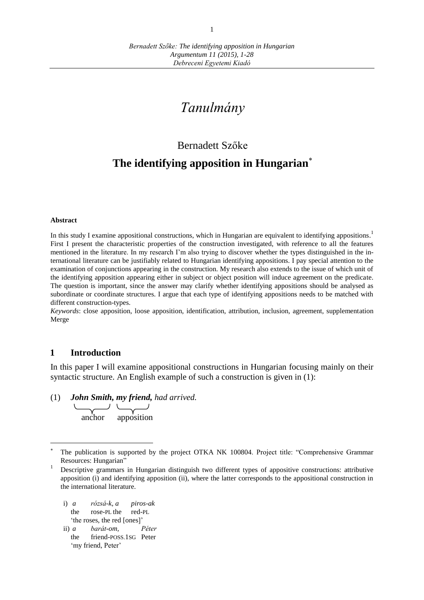# *Tanulmány*

# Bernadett Szőke **The identifying apposition in Hungarian**

#### **Abstract**

In this study I examine appositional constructions, which in Hungarian are equivalent to identifying appositions.<sup>1</sup> First I present the characteristic properties of the construction investigated, with reference to all the features mentioned in the literature. In my research I'm also trying to discover whether the types distinguished in the international literature can be justifiably related to Hungarian identifying appositions. I pay special attention to the examination of conjunctions appearing in the construction. My research also extends to the issue of which unit of the identifying apposition appearing either in subject or object position will induce agreement on the predicate. The question is important, since the answer may clarify whether identifying appositions should be analysed as subordinate or coordinate structures. I argue that each type of identifying appositions needs to be matched with different construction-types.

*Keywords*: close apposition, loose apposition, identification, attribution, inclusion, agreement, supplementation Merge

### **1 Introduction**

 $\overline{a}$ 

In this paper I will examine appositional constructions in Hungarian focusing mainly on their syntactic structure. An English example of such a construction is given in (1):

(1) *John Smith, my friend, had arrived.*

anchor apposition

- i) *a rózsá-k, a piros-ak*  the rose-PL the red-PL 'the roses, the red [ones]'
- ii) *a barát-om, Péter* the friend-POSS.1SG Peter 'my friend, Peter'

<sup>\*</sup> The publication is supported by the project OTKA NK 100804. Project title: "Comprehensive Grammar Resources: Hungarian"

<sup>1</sup> Descriptive grammars in Hungarian distinguish two different types of appositive constructions: attributive apposition (i) and identifying apposition (ii), where the latter corresponds to the appositional construction in the international literature.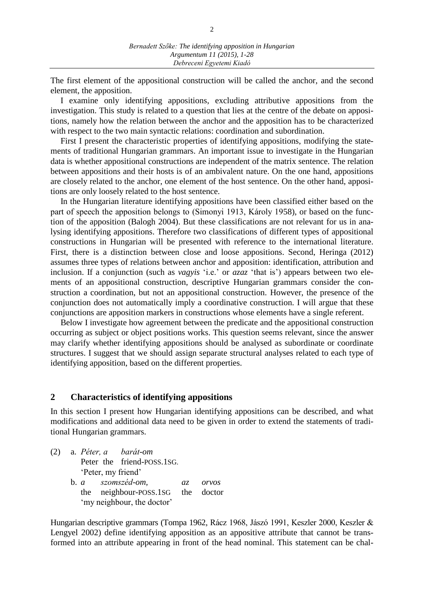The first element of the appositional construction will be called the anchor, and the second element, the apposition.

I examine only identifying appositions, excluding attributive appositions from the investigation. This study is related to a question that lies at the centre of the debate on appositions, namely how the relation between the anchor and the apposition has to be characterized with respect to the two main syntactic relations: coordination and subordination.

First I present the characteristic properties of identifying appositions, modifying the statements of traditional Hungarian grammars. An important issue to investigate in the Hungarian data is whether appositional constructions are independent of the matrix sentence. The relation between appositions and their hosts is of an ambivalent nature. On the one hand, appositions are closely related to the anchor, one element of the host sentence. On the other hand, appositions are only loosely related to the host sentence.

In the Hungarian literature identifying appositions have been classified either based on the part of speech the apposition belongs to (Simonyi 1913, Károly 1958), or based on the function of the apposition (Balogh 2004). But these classifications are not relevant for us in analysing identifying appositions. Therefore two classifications of different types of appositional constructions in Hungarian will be presented with reference to the international literature. First, there is a distinction between close and loose appositions. Second, Heringa (2012) assumes three types of relations between anchor and apposition: identification, attribution and inclusion. If a conjunction (such as *vagyis* 'i.e.' or *azaz* 'that is') appears between two elements of an appositional construction, descriptive Hungarian grammars consider the construction a coordination, but not an appositional construction. However, the presence of the conjunction does not automatically imply a coordinative construction. I will argue that these conjunctions are apposition markers in constructions whose elements have a single referent.

Below I investigate how agreement between the predicate and the appositional construction occurring as subject or object positions works. This question seems relevant, since the answer may clarify whether identifying appositions should be analysed as subordinate or coordinate structures. I suggest that we should assign separate structural analyses related to each type of identifying apposition, based on the different properties.

## **2 Characteristics of identifying appositions**

In this section I present how Hungarian identifying appositions can be described, and what modifications and additional data need to be given in order to extend the statements of traditional Hungarian grammars.

(2) a. *Péter, a barát-om* Peter the friend-POSS.1SG. 'Peter, my friend' b. *a szomszéd-om, az orvos* the neighbour-POSS.1SG the doctor 'my neighbour, the doctor'

Hungarian descriptive grammars (Tompa 1962, Rácz 1968, Jászó 1991, Keszler 2000, Keszler & Lengyel 2002) define identifying apposition as an appositive attribute that cannot be transformed into an attribute appearing in front of the head nominal. This statement can be chal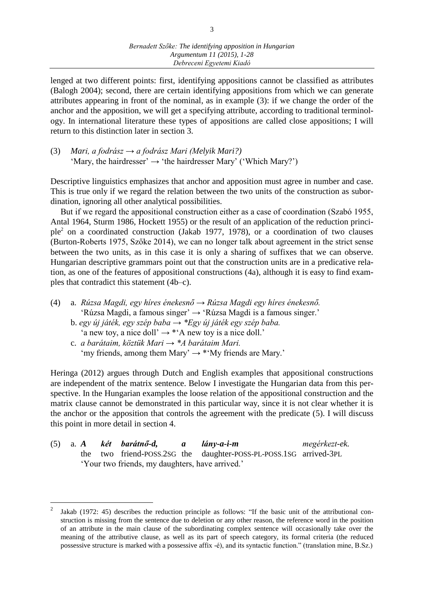lenged at two different points: first, identifying appositions cannot be classified as attributes (Balogh 2004); second, there are certain identifying appositions from which we can generate attributes appearing in front of the nominal, as in example (3): if we change the order of the anchor and the apposition, we will get a specifying attribute, according to traditional terminology. In international literature these types of appositions are called close appositions; I will return to this distinction later in section 3.

(3) *Mari, a fodrász → a fodrász Mari (Melyik Mari?)* 'Mary, the hairdresser'  $\rightarrow$  'the hairdresser Mary' ('Which Mary?')

Descriptive linguistics emphasizes that anchor and apposition must agree in number and case. This is true only if we regard the relation between the two units of the construction as subordination, ignoring all other analytical possibilities.

But if we regard the appositional construction either as a case of coordination (Szabó 1955, Antal 1964, Sturm 1986, Hockett 1955) or the result of an application of the reduction principle<sup>2</sup> on a coordinated construction (Jakab 1977, 1978), or a coordination of two clauses (Burton-Roberts 1975, Szőke 2014), we can no longer talk about agreement in the strict sense between the two units, as in this case it is only a sharing of suffixes that we can observe. Hungarian descriptive grammars point out that the construction units are in a predicative relation, as one of the features of appositional constructions (4a), although it is easy to find examples that contradict this statement (4b–c).

- (4) a. *Rúzsa Magdi, egy híres énekesnő → Rúzsa Magdi egy híres énekesnő.* 'Rúzsa Magdi, a famous singer' → 'Rúzsa Magdi is a famous singer.'
	- b. *egy új játék, egy szép baba → \*Egy új játék egy szép baba.* 'a new toy, a nice doll'  $\rightarrow$  \*'A new toy is a nice doll.'

 $\overline{a}$ 

c. *a barátaim, köztük Mari → \*A barátaim Mari.* 'my friends, among them Mary'  $\rightarrow$  \*'My friends are Mary.'

Heringa (2012) argues through Dutch and English examples that appositional constructions are independent of the matrix sentence. Below I investigate the Hungarian data from this perspective. In the Hungarian examples the loose relation of the appositional construction and the matrix clause cannot be demonstrated in this particular way, since it is not clear whether it is the anchor or the apposition that controls the agreement with the predicate (5). I will discuss this point in more detail in section 4.

|  |  | $(5)$ a. A két barátnő-d, a lány-a-i-m          |                                                                   | megérkezt-ek. |
|--|--|-------------------------------------------------|-------------------------------------------------------------------|---------------|
|  |  |                                                 | the two friend-POSS.2SG the daughter-POSS-PL-POSS.1SG arrived-3PL |               |
|  |  | 'Your two friends, my daughters, have arrived.' |                                                                   |               |

<sup>2</sup> Jakab (1972: 45) describes the reduction principle as follows: "If the basic unit of the attributional construction is missing from the sentence due to deletion or any other reason, the reference word in the position of an attribute in the main clause of the subordinating complex sentence will occasionally take over the meaning of the attributive clause, as well as its part of speech category, its formal criteria (the reduced possessive structure is marked with a possessive affix -é), and its syntactic function." (translation mine, B.Sz.)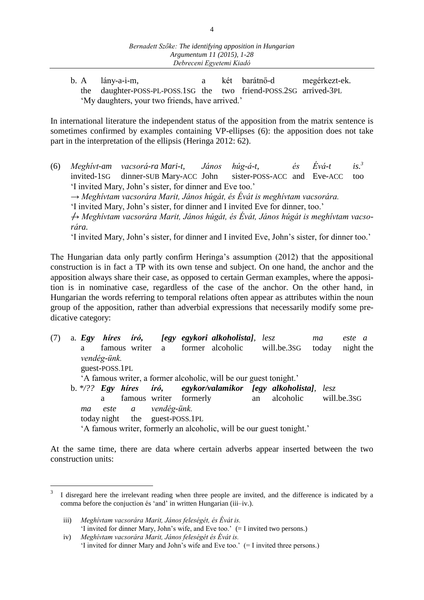b. A lány-a-i-m, a két barátnő-d megérkezt-ek. the daughter-POSS-PL-POSS.1SG the two friend-POSS.2SG arrived-3PL 'My daughters, your two friends, have arrived.'

In international literature the independent status of the apposition from the matrix sentence is sometimes confirmed by examples containing VP-ellipses (6): the apposition does not take part in the interpretation of the ellipsis (Heringa 2012: 62).

(6) *Meghívt-am vacsorá-ra Mari-t, János húg-á-t, és Évá-t is.<sup>3</sup>* invited-1SG dinner-SUB Mary-ACC John sister-POSS-ACC and Eve-ACC too 'I invited Mary, John's sister, for dinner and Eve too.' → *Meghívtam vacsorára Marit, János húgát, és Évát is meghívtam vacsorára.* 'I invited Mary, John's sister, for dinner and I invited Eve for dinner, too.' → *Meghívtam vacsorára Marit, János húgát, és Évát, János húgát is meghívtam vacsorára.* 'I invited Mary, John's sister, for dinner and I invited Eve, John's sister, for dinner too.'

The Hungarian data only partly confirm Heringa's assumption (2012) that the appositional construction is in fact a TP with its own tense and subject. On one hand, the anchor and the apposition always share their case, as opposed to certain German examples, where the apposition is in nominative case, regardless of the case of the anchor. On the other hand, in Hungarian the words referring to temporal relations often appear as attributes within the noun group of the apposition, rather than adverbial expressions that necessarily modify some predicative category:

(7) a. *Egy híres író, [egy egykori alkoholista], lesz ma este a* a famous writer a former alcoholic will.be.3SG today night the *vendég-ünk.* guest-POSS.1PL 'A famous writer, a former alcoholic, will be our guest tonight.' b. *\*/?? Egy híres író, egykor/valamikor [egy alkoholista], lesz*  a famous writer formerly an alcoholic will.be.3SG *ma este a vendég-ünk.* today night the guest-POSS.1PL 'A famous writer, formerly an alcoholic, will be our guest tonight.'

At the same time, there are data where certain adverbs appear inserted between the two construction units:

 $\overline{a}$ 

<sup>3</sup> I disregard here the irrelevant reading when three people are invited, and the difference is indicated by a comma before the conjuction és 'and' in written Hungarian (iii–iv.).

iii) *Meghívtam vacsorára Marit, János feleségét, és Évát is.* 'I invited for dinner Mary, John's wife, and Eve too.' (= I invited two persons.)

iv) *Meghívtam vacsorára Marit, János feleségét és Évát is.*  'I invited for dinner Mary and John's wife and Eve too.' (= I invited three persons.)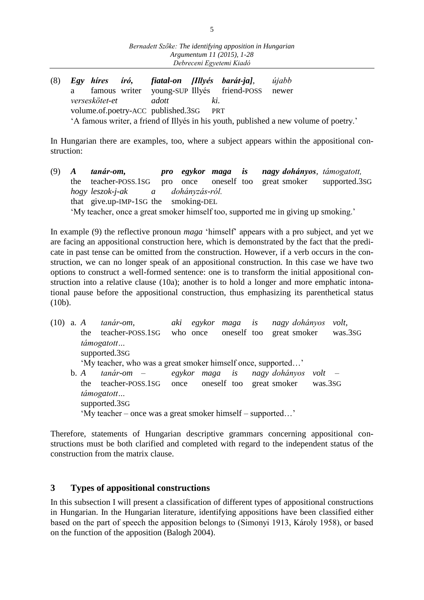(8) *Egy híres író, fiatal-on [Illyés barát-ja], újabb* a famous writer young-SUP Illyés friend-POSS newer *verseskötet-et adott ki.* volume.of.poetry-ACC published.3SG PRT 'A famous writer, a friend of Illyés in his youth, published a new volume of poetry.'

In Hungarian there are examples, too, where a subject appears within the appositional construction:

(9) *A tanár-om, pro egykor maga is nagy dohányos, támogatott,*  the teacher-POSS.1SG pro once oneself too great smoker supported.3SG *hogy leszok-j-ak a dohányzás-ról.* that give.up-IMP-1SG the smoking-DEL 'My teacher, once a great smoker himself too, supported me in giving up smoking.'

In example (9) the reflective pronoun *maga* 'himself' appears with a pro subject, and yet we are facing an appositional construction here, which is demonstrated by the fact that the predicate in past tense can be omitted from the construction. However, if a verb occurs in the construction, we can no longer speak of an appositional construction. In this case we have two options to construct a well-formed sentence: one is to transform the initial appositional construction into a relative clause (10a); another is to hold a longer and more emphatic intonational pause before the appositional construction, thus emphasizing its parenthetical status (10b).

(10) a. *A tanár-om, aki egykor maga is nagy dohányos volt,* the teacher-POSS.1SG who once oneself too great smoker was.3SG *támogatott…* supported.3SG 'My teacher, who was a great smoker himself once, supported…' b. *A tanár-om – egykor maga is nagy dohányos volt –* the teacher-POSS.1SG once oneself too great smoker was.3SG *támogatott…* supported.3SG 'My teacher – once was a great smoker himself – supported…'

Therefore, statements of Hungarian descriptive grammars concerning appositional constructions must be both clarified and completed with regard to the independent status of the construction from the matrix clause.

# **3 Types of appositional constructions**

In this subsection I will present a classification of different types of appositional constructions in Hungarian. In the Hungarian literature, identifying appositions have been classified either based on the part of speech the apposition belongs to (Simonyi 1913, Károly 1958), or based on the function of the apposition (Balogh 2004).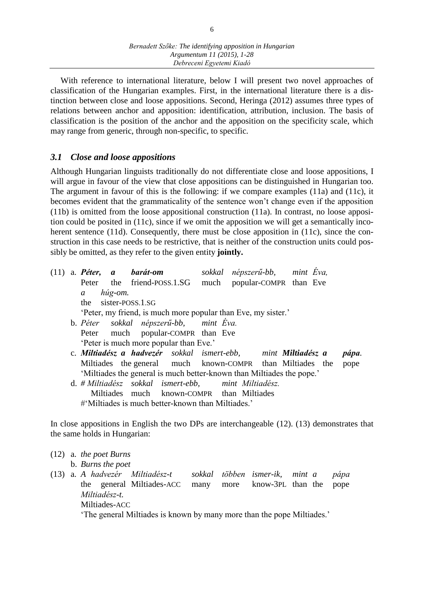With reference to international literature, below I will present two novel approaches of classification of the Hungarian examples. First, in the international literature there is a distinction between close and loose appositions. Second, Heringa (2012) assumes three types of relations between anchor and apposition: identification, attribution, inclusion. The basis of classification is the position of the anchor and the apposition on the specificity scale, which may range from generic, through non-specific, to specific.

# *3.1 Close and loose appositions*

Although Hungarian linguists traditionally do not differentiate close and loose appositions, I will argue in favour of the view that close appositions can be distinguished in Hungarian too. The argument in favour of this is the following: if we compare examples (11a) and (11c), it becomes evident that the grammaticality of the sentence won't change even if the apposition (11b) is omitted from the loose appositional construction (11a). In contrast, no loose apposition could be posited in (11c), since if we omit the apposition we will get a semantically incoherent sentence (11d). Consequently, there must be close apposition in (11c), since the construction in this case needs to be restrictive, that is neither of the construction units could possibly be omitted, as they refer to the given entity **jointly.**

(11) a. *Péter, a barát-om sokkal népszerű-bb, mint Éva,* Peter the friend-POSS.1.SG much popular-COMPR than Eve *a húg-om.*  the sister-POSS.1.SG 'Peter, my friend, is much more popular than Eve, my sister.' b. *Péter sokkal népszerű-bb, mint Éva.* Peter much popular-COMPR than Eve 'Peter is much more popular than Eve.' c. *Miltiadész a hadvezér sokkal ismert-ebb, mint Miltiadész a pápa.* Miltiades the general much known-COMPR than Miltiades the pope 'Miltiades the general is much better-known than Miltiades the pope.' d. *# Miltiadész sokkal ismert-ebb, mint Miltiadész.* Miltiades much known-COMPR than Miltiades #'Miltiades is much better-known than Miltiades.'

In close appositions in English the two DPs are interchangeable (12). (13) demonstrates that the same holds in Hungarian:

- (12) a. *the poet Burns*  b. *Burns the poet*
- (13) a. *A hadvezér Miltiadész-t sokkal többen ismer-ik, mint a pápa* the general Miltiades-ACC many more know-3PL than the pope *Miltiadész-t.*  Miltiades-ACC 'The general Miltiades is known by many more than the pope Miltiades.'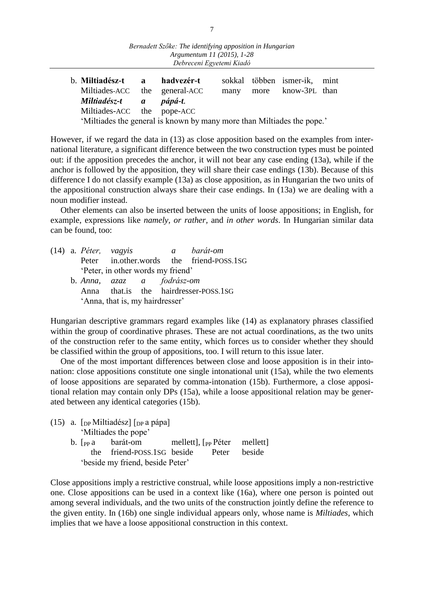| b. Miltiadész-t a hadvezér-t  |                                                                        |  | sokkal többen ismer-ik, mint |  |
|-------------------------------|------------------------------------------------------------------------|--|------------------------------|--|
| Miltiades-ACC the general-ACC |                                                                        |  | many more know-3PL than      |  |
| Miltiadész-t a pápá-t.        |                                                                        |  |                              |  |
| Miltiades-ACC the pope-ACC    |                                                                        |  |                              |  |
|                               | 'Miltiades the general is known by many more than Miltiades the pope.' |  |                              |  |

However, if we regard the data in (13) as close apposition based on the examples from international literature, a significant difference between the two construction types must be pointed out: if the apposition precedes the anchor, it will not bear any case ending (13a), while if the anchor is followed by the apposition, they will share their case endings (13b). Because of this difference I do not classify example (13a) as close apposition, as in Hungarian the two units of the appositional construction always share their case endings. In (13a) we are dealing with a noun modifier instead.

Other elements can also be inserted between the units of loose appositions; in English, for example, expressions like *namely, or rather,* and *in other words*. In Hungarian similar data can be found, too:

(14) a. *Péter, vagyis a barát-om* Peter in.other.words the friend-POSS.1SG 'Peter, in other words my friend' b. *Anna, azaz a fodrász-om* Anna that.is the hairdresser-POSS.1SG 'Anna, that is, my hairdresser'

Hungarian descriptive grammars regard examples like (14) as explanatory phrases classified within the group of coordinative phrases. These are not actual coordinations, as the two units of the construction refer to the same entity, which forces us to consider whether they should be classified within the group of appositions, too. I will return to this issue later.

One of the most important differences between close and loose apposition is in their intonation: close appositions constitute one single intonational unit (15a), while the two elements of loose appositions are separated by comma-intonation (15b). Furthermore, a close appositional relation may contain only DPs (15a), while a loose appositional relation may be generated between any identical categories (15b).

(15) a.  $[p<sub>P</sub> Miltiadész] [p<sub>P</sub> a pápa]$ 'Miltiades the pope' b.  $[p \circ a]$  barát-om mellett],  $[p \circ P \circ \text{eter} \circ m$ ellett] the friend-POSS.1SG beside Peter beside 'beside my friend, beside Peter'

Close appositions imply a restrictive construal, while loose appositions imply a non-restrictive one. Close appositions can be used in a context like (16a), where one person is pointed out among several individuals, and the two units of the construction jointly define the reference to the given entity. In (16b) one single individual appears only, whose name is *Miltiades*, which implies that we have a loose appositional construction in this context.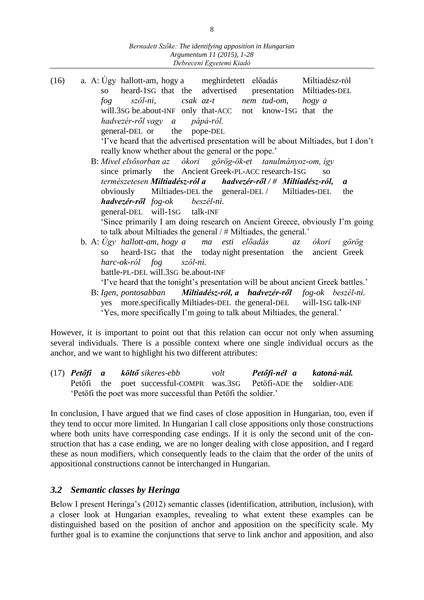- (16) a. A: Úgy hallott-am, hogy a meghirdetett előadás Miltiadész-ról so heard-1SG that the advertised presentation Miltiades-DEL *fog szól-ni, csak az-t nem tud-om, hogy a*  will.3SG be.about-INF only that-ACC not know-1SG that the *hadvezér-ről vagy a pápá-ról.* general-DEL or the pope-DEL 'I've heard that the advertised presentation will be about Miltiades, but I don't really know whether about the general or the pope.' B: *Mivel elsősorban az ókori görög-ök-et tanulmányoz-om, így*  since primarly the Ancient Greek-PL-ACC research-1SG so *természetesen Miltiadész-ról a hadvezér-ről / # Miltiadész-ról, a* obviously Miltiades-DEL the general-DEL / Miltiades-DEL the *hadvezér-ről fog-ok beszél-ni.* general-DEL will-1SG talk-INF 'Since primarily I am doing research on Ancient Greece, obviously I'm going to talk about Miltiades the general / # Miltiades, the general.' b. A: *Úgy hallott-am, hogy a ma esti előadás az ókori görög*  so heard-1SG that the today night presentation the ancient Greek
	- *harc-ok-ról fog szól-ni.*

battle-PL-DEL will.3SG be.about-INF

'I've heard that the tonight's presentation will be about ancient Greek battles.'

 B: *Igen, pontosabban Miltiadész-ról, a hadvezér-ről fog-ok beszél-ni.*  yes more.specifically Miltiades-DEL the general-DEL will-1SG talk-INF 'Yes, more specifically I'm going to talk about Miltiades, the general.'

However, it is important to point out that this relation can occur not only when assuming several individuals. There is a possible context where one single individual occurs as the anchor, and we want to highlight his two different attributes:

(17) *Petőfi a költő sikeres-ebb volt Petőfi-nél a katoná-nál.* Petőfi the poet successful-COMPR was.3SG Petőfi-ADE the soldier-ADE 'Petőfi the poet was more successful than Petőfi the soldier.'

In conclusion, I have argued that we find cases of close apposition in Hungarian, too, even if they tend to occur more limited. In Hungarian I call close appositions only those constructions where both units have corresponding case endings. If it is only the second unit of the construction that has a case ending, we are no longer dealing with close apposition, and I regard these as noun modifiers, which consequently leads to the claim that the order of the units of appositional constructions cannot be interchanged in Hungarian.

# *3.2 Semantic classes by Heringa*

Below I present Heringa's (2012) semantic classes (identification, attribution, inclusion), with a closer look at Hungarian examples, revealing to what extent these examples can be distinguished based on the position of anchor and apposition on the specificity scale. My further goal is to examine the conjunctions that serve to link anchor and apposition, and also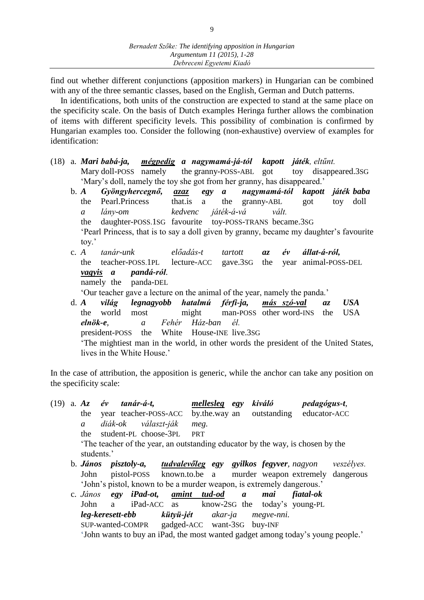find out whether different conjunctions (apposition markers) in Hungarian can be combined with any of the three semantic classes, based on the English, German and Dutch patterns.

In identifications, both units of the construction are expected to stand at the same place on the specificity scale. On the basis of Dutch examples Heringa further allows the combination of items with different specificity levels. This possibility of combination is confirmed by Hungarian examples too. Consider the following (non-exhaustive) overview of examples for identification:

- (18) a. *Mari babá-ja, mégpedig a nagymamá-já-tól kapott játék, eltűnt.* Mary doll-POSS namely the granny-POSS-ABL got toy disappeared.3SG 'Mary's doll, namely the toy she got from her granny, has disappeared.'
	- b. *A Gyöngyhercegnő, azaz egy a nagymamá-tól kapott játék baba* the Pearl.Princess that.is a the granny-ABL got toy doll *a lány-om kedvenc játék-á-vá vált.* the daughter-POSS.1SG favourite toy-POSS-TRANS became.3SG 'Pearl Princess, that is to say a doll given by granny, became my daughter's favourite toy.'
	- c. *A tanár-unk előadás-t tartott az év állat-á-ról,*  the teacher-POSS.1PL lecture-ACC gave.3SG the year animal-POSS-DEL *vagyis a pandá-ról.*

namely the panda-DEL

'Our teacher gave a lecture on the animal of the year, namely the panda.'

d. *A világ legnagyobb hatalmú férfi-ja, más szó-val az USA* the world most might man-POSS other word-INS the USA *elnök-e, a Fehér Ház-ban él.* president-POSS the White House-INE live.3SG 'The mightiest man in the world, in other words the president of the United States, lives in the White House.'

In the case of attribution, the apposition is generic, while the anchor can take any position on the specificity scale:

(19) a. *Az év tanár-á-t, mellesleg egy kiváló pedagógus-t,*  the year teacher-POSS-ACC by.the.way an outstanding educator-ACC *a diák-ok választ-ják meg.* the student-PL choose-3PL PRT 'The teacher of the year, an outstanding educator by the way, is chosen by the students.' b. *János pisztoly-a, tudvalevőleg egy gyilkos fegyver, nagyon veszélyes.* John pistol-POSS known.to.be a murder weapon extremely dangerous 'John's pistol, known to be a murder weapon, is extremely dangerous.' c. *János egy iPad-ot, amint tud-od a mai fiatal-ok*  John a iPad-ACC as know-2SG the today's young-PL *leg-keresett-ebb kütyü-jét akar-ja megve-nni.*

SUP-wanted-COMPR gadged-ACC want-3SG buy-INF 'John wants to buy an iPad, the most wanted gadget among today's young people.'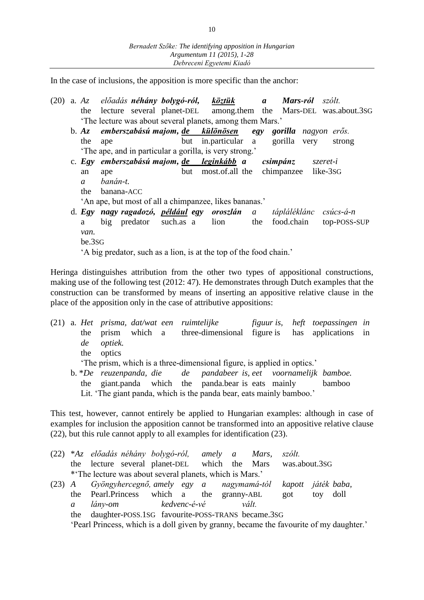In the case of inclusions, the apposition is more specific than the anchor:

- (20) a. *Az előadás néhány bolygó-ról, köztük a Mars-ról szólt.* the lecture several planet-DEL among.them the Mars-DEL was.about.3SG 'The lecture was about several planets, among them Mars.'
	- b. *Az emberszabású majom, de különösen egy gorilla nagyon erős.* the ape but in.particular a gorilla very strong 'The ape, and in particular a gorilla, is very strong.'
	- c. *Egy emberszabású majom, de leginkább a csimpánz szeret-i*  an ape but most.of.all the chimpanzee like-3SG *a banán-t.*
		- the banana-ACC
		- 'An ape, but most of all a chimpanzee, likes bananas.'
	- d. *Egy nagy ragadozó, például egy oroszlán a tápláléklánc csúcs-á-n* a big predator such.as a lion the food.chain top-POSS-SUP *van.* be.3SG

'A big predator, such as a lion, is at the top of the food chain.'

Heringa distinguishes attribution from the other two types of appositional constructions, making use of the following test (2012: 47). He demonstrates through Dutch examples that the construction can be transformed by means of inserting an appositive relative clause in the place of the apposition only in the case of attributive appositions:

(21) a. *Het prisma, dat/wat een ruimtelijke figuur is, heft toepassingen in*  the prism which a three-dimensional figure is has applications in *de optiek.* the optics 'The prism, which is a three-dimensional figure, is applied in optics.' b. \**De reuzenpanda, die de pandabeer is, eet voornamelijk bamboe.* the giant.panda which the panda.bear is eats mainly bamboo Lit. 'The giant panda, which is the panda bear, eats mainly bamboo.'

This test, however, cannot entirely be applied to Hungarian examples: although in case of examples for inclusion the apposition cannot be transformed into an appositive relative clause (22), but this rule cannot apply to all examples for identification (23).

- (22) \**Az előadás néhány bolygó-ról, amely a Mars, szólt.*  the lecture several planet-DEL which the Mars was.about.3SG \*'The lecture was about several planets, which is Mars.'
- (23) *A Gyöngyhercegnő, amely egy a nagymamá-tól kapott játék baba,* the Pearl.Princess which a the granny-ABL got toy doll *a lány-om kedvenc-é-vé vált.* the daughter-POSS.1SG favourite-POSS-TRANS became.3SG 'Pearl Princess, which is a doll given by granny, became the favourite of my daughter.'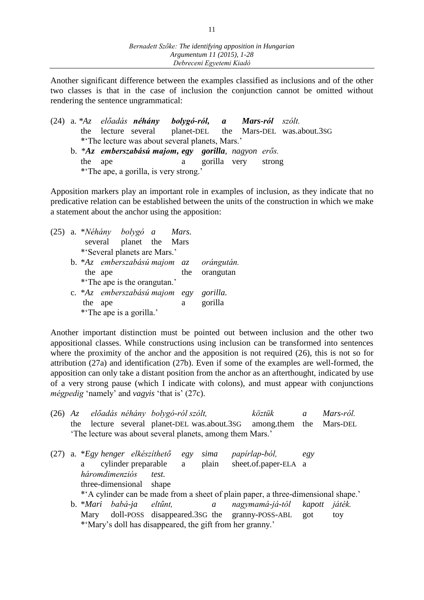Another significant difference between the examples classified as inclusions and of the other two classes is that in the case of inclusion the conjunction cannot be omitted without rendering the sentence ungrammatical:

- (24) a. *\*Az előadás néhány bolygó-ról, a Mars-ról szólt.*  the lecture several planet-DEL the Mars-DEL was.about.3SG \*'The lecture was about several planets, Mars.'
	- b. \**Az emberszabású majom, egy gorilla, nagyon erős.* the ape a gorilla very strong \*'The ape, a gorilla, is very strong.'

Apposition markers play an important role in examples of inclusion, as they indicate that no predicative relation can be established between the units of the construction in which we make a statement about the anchor using the apposition:

|  |     |         | (25) a. * <i>Néhány bolygó a Mars.</i> |  |   |                                         |
|--|-----|---------|----------------------------------------|--|---|-----------------------------------------|
|  |     |         | several planet the Mars                |  |   |                                         |
|  |     |         | *'Several planets are Mars.'           |  |   |                                         |
|  |     |         |                                        |  |   | b. *Az emberszabású majom az orángután. |
|  |     | the ape |                                        |  |   | the orangutan                           |
|  |     |         | *The ape is the orangutan.'            |  |   |                                         |
|  |     |         | c. *Az emberszabású majom egy gorilla. |  |   |                                         |
|  | the | ape     |                                        |  | a | gorilla                                 |
|  |     |         | *The ape is a gorilla.'                |  |   |                                         |

Another important distinction must be pointed out between inclusion and the other two appositional classes. While constructions using inclusion can be transformed into sentences where the proximity of the anchor and the apposition is not required (26), this is not so for attribution (27a) and identification (27b). Even if some of the examples are well-formed, the apposition can only take a distant position from the anchor as an afterthought, indicated by use of a very strong pause (which I indicate with colons), and must appear with conjunctions *mégpedig* 'namely' and *vagyis* 'that is' (27c).

(26) *Az előadás néhány bolygó-ról szólt, köztük a Mars-ról.* the lecture several planet-DEL was.about.3SG among.them the Mars-DEL 'The lecture was about several planets, among them Mars.'

(27) a. \**Egy henger elkészíthető egy sima papírlap-ból, egy*  a cylinder preparable a plain sheet.of.paper-ELA a *háromdimenziós test.* three-dimensional shape \*'A cylinder can be made from a sheet of plain paper, a three-dimensional shape.' b. \**Mari babá-ja eltűnt, a nagymamá-já-tól kapott játék.* Mary doll-POSS disappeared.3sG the granny-POSS-ABL got toy \*'Mary's doll has disappeared, the gift from her granny.'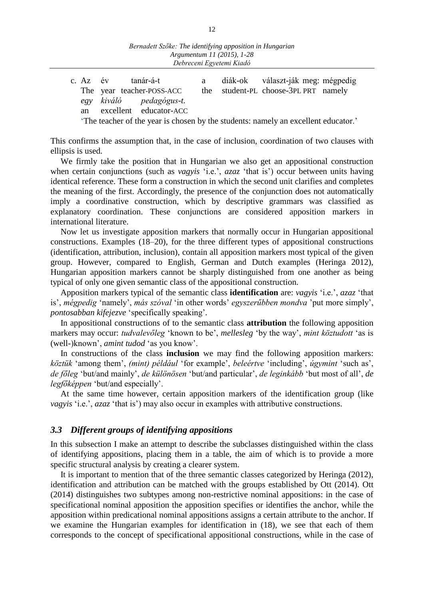|  | c. Az év | tanár-á-t                                                                         | a - | diák-ok választ-ják meg: mégpedig    |  |
|--|----------|-----------------------------------------------------------------------------------|-----|--------------------------------------|--|
|  |          | The year teacher-POSS-ACC                                                         |     | the student-PL choose-3PL PRT namely |  |
|  |          | egy kiváló pedagógus-t.                                                           |     |                                      |  |
|  |          | an excellent educator-ACC                                                         |     |                                      |  |
|  |          | The teacher of the year is chosen by the students: namely an excellent educator.' |     |                                      |  |

This confirms the assumption that, in the case of inclusion, coordination of two clauses with ellipsis is used.

We firmly take the position that in Hungarian we also get an appositional construction when certain conjunctions (such as *vagyis* 'i.e.', *azaz* 'that is') occur between units having identical reference. These form a construction in which the second unit clarifies and completes the meaning of the first. Accordingly, the presence of the conjunction does not automatically imply a coordinative construction, which by descriptive grammars was classified as explanatory coordination. These conjunctions are considered apposition markers in international literature.

Now let us investigate apposition markers that normally occur in Hungarian appositional constructions. Examples (18–20), for the three different types of appositional constructions (identification, attribution, inclusion), contain all apposition markers most typical of the given group. However, compared to English, German and Dutch examples (Heringa 2012), Hungarian apposition markers cannot be sharply distinguished from one another as being typical of only one given semantic class of the appositional construction.

Apposition markers typical of the semantic class **identification** are: *vagyis* 'i.e.', *azaz* 'that is', *mégpedig* 'namely', *más szóval* 'in other words' *egyszerűbben mondva* 'put more simply', *pontosabban kifejezve* 'specifically speaking'*.*

In appositional constructions of to the semantic class **attribution** the following apposition markers may occur: *tudvalevőleg* 'known to be', *mellesleg* 'by the way', *mint köztudott* 'as is (well-)known', *amint tudod* 'as you know'.

In constructions of the class **inclusion** we may find the following apposition markers: *köztük* 'among them', *(mint) például* 'for example', *beleértve* 'including', *úgymint* 'such as', *de főleg* 'but/and mainly', *de különösen* 'but/and particular', *de leginkább* 'but most of all', *de legfőképpen* 'but/and especially'.

At the same time however, certain apposition markers of the identification group (like *vagyis* 'i.e.', *azaz* 'that is') may also occur in examples with attributive constructions.

## *3.3 Different groups of identifying appositions*

In this subsection I make an attempt to describe the subclasses distinguished within the class of identifying appositions, placing them in a table, the aim of which is to provide a more specific structural analysis by creating a clearer system.

It is important to mention that of the three semantic classes categorized by Heringa (2012), identification and attribution can be matched with the groups established by Ott (2014). Ott (2014) distinguishes two subtypes among non-restrictive nominal appositions: in the case of specificational nominal apposition the apposition specifies or identifies the anchor, while the apposition within predicational nominal appositions assigns a certain attribute to the anchor. If we examine the Hungarian examples for identification in (18), we see that each of them corresponds to the concept of specificational appositional constructions, while in the case of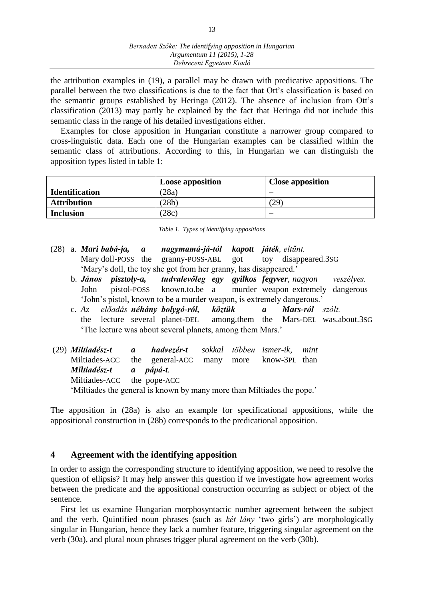the attribution examples in (19), a parallel may be drawn with predicative appositions. The parallel between the two classifications is due to the fact that Ott's classification is based on the semantic groups established by Heringa (2012). The absence of inclusion from Ott's classification (2013) may partly be explained by the fact that Heringa did not include this semantic class in the range of his detailed investigations either.

Examples for close apposition in Hungarian constitute a narrower group compared to cross-linguistic data. Each one of the Hungarian examples can be classified within the semantic class of attributions. According to this, in Hungarian we can distinguish the apposition types listed in table 1:

|                       | <b>Loose apposition</b> | <b>Close apposition</b> |
|-----------------------|-------------------------|-------------------------|
| <b>Identification</b> | (28a)                   | _                       |
| <b>Attribution</b>    | (28b)                   | 29                      |
| <b>Inclusion</b>      | (28c)                   | _                       |

*Table 1. Types of identifying appositions*

- (28) a. *Mari babá-ja, a nagymamá-já-tól kapott játék, eltűnt.* Mary doll-POSS the granny-POSS-ABL got toy disappeared.3sG 'Mary's doll, the toy she got from her granny, has disappeared.'
	- b. *János pisztoly-a, tudvalevőleg egy gyilkos fegyver, nagyon veszélyes.* John pistol-POSS known.to.be a murder weapon extremely dangerous 'John's pistol, known to be a murder weapon, is extremely dangerous.'
	- c. *Az előadás néhány bolygó-ról, köztük a Mars-ról szólt.* the lecture several planet-DEL among.them the Mars-DEL was.about.3SG 'The lecture was about several planets, among them Mars.'
- (29) *Miltiadész-t a hadvezér-t sokkal többen ismer-ik, mint*  Miltiades-ACC the general-ACC many more know-3PL than *Miltiadész-t a pápá-t.* Miltiades-ACC the pope-ACC 'Miltiades the general is known by many more than Miltiades the pope.'

The apposition in (28a) is also an example for specificational appositions, while the appositional construction in (28b) corresponds to the predicational apposition.

# **4 Agreement with the identifying apposition**

In order to assign the corresponding structure to identifying apposition, we need to resolve the question of ellipsis? It may help answer this question if we investigate how agreement works between the predicate and the appositional construction occurring as subject or object of the sentence.

First let us examine Hungarian morphosyntactic number agreement between the subject and the verb. Quintified noun phrases (such as *két lány* 'two girls') are morphologically singular in Hungarian, hence they lack a number feature, triggering singular agreement on the verb (30a), and plural noun phrases trigger plural agreement on the verb (30b).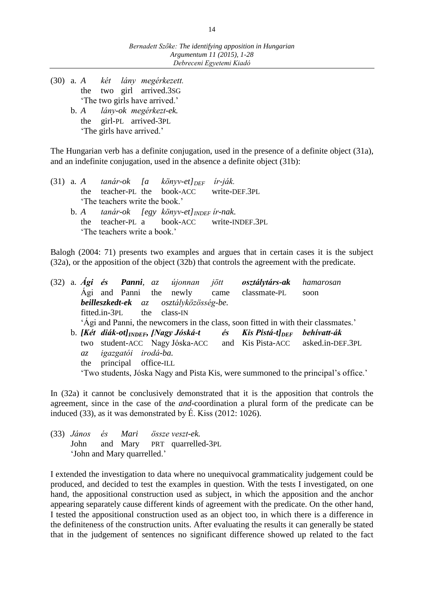- (30) a. *A két lány megérkezett.* the two girl arrived.3SG 'The two girls have arrived.'
	- b. *A lány-ok megérkezt-ek.* the girl-PL arrived-3PL 'The girls have arrived.'

The Hungarian verb has a definite conjugation, used in the presence of a definite object (31a), and an indefinite conjugation, used in the absence a definite object (31b):

|                                |  |  |  |  | (31) a. A tanár-ok [a könyv-et] $_{DEF}$ ir-ják.                 |                                           |  |  |
|--------------------------------|--|--|--|--|------------------------------------------------------------------|-------------------------------------------|--|--|
|                                |  |  |  |  | the teacher-PL the book-ACC write-DEF.3PL                        |                                           |  |  |
| 'The teachers write the book.' |  |  |  |  |                                                                  |                                           |  |  |
|                                |  |  |  |  | b. A $tan\acute{a}r$ -ok $[egy k\ddot{o}nyv-et]_{INDEF}$ ir-nak. |                                           |  |  |
|                                |  |  |  |  |                                                                  | the teacher-PL a book-ACC write-INDEF.3PL |  |  |
| 'The teachers write a book.'   |  |  |  |  |                                                                  |                                           |  |  |

Balogh (2004: 71) presents two examples and argues that in certain cases it is the subject (32a), or the apposition of the object (32b) that controls the agreement with the predicate.

(32) a. *Ági és Panni, az újonnan jött osztálytárs-ak hamarosan*  Ági and Panni the newly came classmate-PL soon *beilleszkedt-ek az osztályközösség-be.* fitted.in-3PL the class-IN 'Ági and Panni, the newcomers in the class, soon fitted in with their classmates.' b. *[Két diák-ot]INDEF, [Nagy Jóská-t és Kis Pistá-t]DEF behívatt-ák*  two student-ACC Nagy Jóska-ACC and Kis Pista-ACC asked.in-DEF.3PL *az igazgatói irodá-ba.* the principal office-ILL 'Two students, Jóska Nagy and Pista Kis, were summoned to the principal's office.'

In (32a) it cannot be conclusively demonstrated that it is the apposition that controls the agreement, since in the case of the *and*-coordination a plural form of the predicate can be induced (33), as it was demonstrated by  $\acute{E}$ . Kiss (2012: 1026).

|  |                             | (33) János és Mari összeveszt-ek. |
|--|-----------------------------|-----------------------------------|
|  |                             | John and Mary PRT quarrelled-3PL  |
|  | 'John and Mary quarrelled.' |                                   |

I extended the investigation to data where no unequivocal grammaticality judgement could be produced, and decided to test the examples in question. With the tests I investigated, on one hand, the appositional construction used as subject, in which the apposition and the anchor appearing separately cause different kinds of agreement with the predicate. On the other hand, I tested the appositional construction used as an object too, in which there is a difference in the definiteness of the construction units. After evaluating the results it can generally be stated that in the judgement of sentences no significant difference showed up related to the fact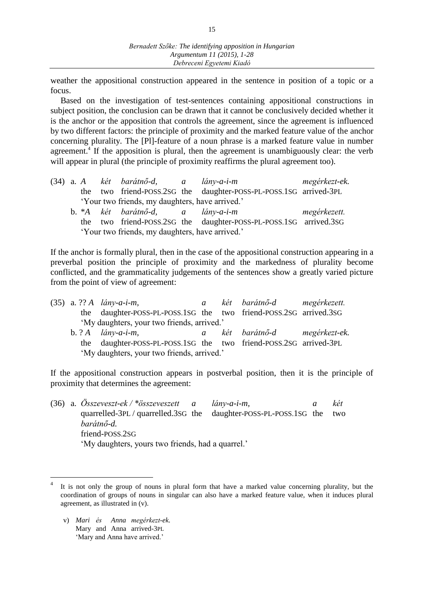weather the appositional construction appeared in the sentence in position of a topic or a focus.

Based on the investigation of test-sentences containing appositional constructions in subject position, the conclusion can be drawn that it cannot be conclusively decided whether it is the anchor or the apposition that controls the agreement, since the agreement is influenced by two different factors: the principle of proximity and the marked feature value of the anchor concerning plurality. The [Pl]-feature of a noun phrase is a marked feature value in number agreement.<sup>4</sup> If the apposition is plural, then the agreement is unambiguously clear: the verb will appear in plural (the principle of proximity reaffirms the plural agreement too).

|                                                 |  |  | (34) a. A két barátnő-d, a lány-a-i-m |  |                                                                   | megérkezt-ek. |  |  |  |
|-------------------------------------------------|--|--|---------------------------------------|--|-------------------------------------------------------------------|---------------|--|--|--|
|                                                 |  |  |                                       |  | the two friend-POSS.2SG the daughter-POSS-PL-POSS.1SG arrived-3PL |               |  |  |  |
| 'Your two friends, my daughters, have arrived.' |  |  |                                       |  |                                                                   |               |  |  |  |
|                                                 |  |  | b. *A két barátnő-d, a lány-a-i-m     |  |                                                                   | megérkezett.  |  |  |  |
|                                                 |  |  |                                       |  | the two friend-POSS.2SG the daughter-POSS-PL-POSS.1SG arrived.3SG |               |  |  |  |
| 'Your two friends, my daughters, have arrived.' |  |  |                                       |  |                                                                   |               |  |  |  |

If the anchor is formally plural, then in the case of the appositional construction appearing in a preverbal position the principle of proximity and the markedness of plurality become conflicted, and the grammaticality judgements of the sentences show a greatly varied picture from the point of view of agreement:

|                                            | $(35)$ a. ?? A <i>lány-a-i-m</i> ,                                |  |  | a két barátnő-d megérkezett.  |  |  |  |  |
|--------------------------------------------|-------------------------------------------------------------------|--|--|-------------------------------|--|--|--|--|
|                                            | the daughter-POSS-PL-POSS.1SG the two friend-POSS.2SG arrived.3SG |  |  |                               |  |  |  |  |
| 'My daughters, your two friends, arrived.' |                                                                   |  |  |                               |  |  |  |  |
|                                            |                                                                   |  |  |                               |  |  |  |  |
|                                            | b. $? A$ <i>lány-a-i-m</i> ,                                      |  |  | a két barátnő-d megérkezt-ek. |  |  |  |  |
|                                            | the daughter-POSS-PL-POSS.1SG the two friend-POSS.2SG arrived-3PL |  |  |                               |  |  |  |  |

If the appositional construction appears in postverbal position, then it is the principle of proximity that determines the agreement:

|  | (36) a. $\ddot{O}$ sszeveszt-ek / *összeveszett a               | $\lim_{v \to a-i-m}$ | két |
|--|-----------------------------------------------------------------|----------------------|-----|
|  | quarrelled-3PL/quarrelled.3SG the daughter-POSS-PL-POSS.1SG the |                      | two |
|  | barátnő-d.                                                      |                      |     |
|  | friend-POSS.2SG                                                 |                      |     |
|  | 'My daughters, yours two friends, had a quarrel.'               |                      |     |

v) *Mari és Anna megérkezt-ek.* Mary and Anna arrived-3PL 'Mary and Anna have arrived.'

 $\overline{a}$ 

<sup>4</sup> It is not only the group of nouns in plural form that have a marked value concerning plurality, but the coordination of groups of nouns in singular can also have a marked feature value, when it induces plural agreement, as illustrated in (v).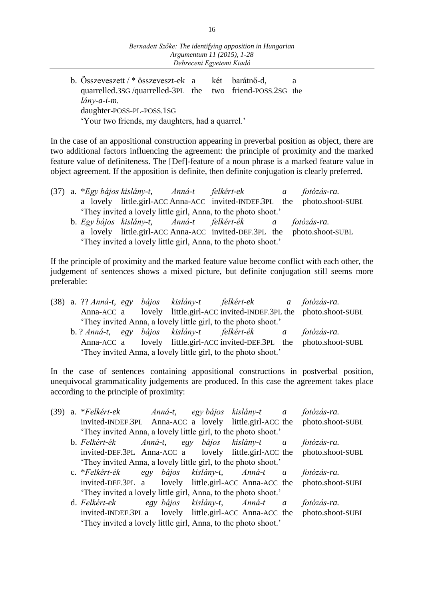| b. Összeveszett / * összeveszt-ek a két barátnő-d,        |  |  |  |  |  |  |  |
|-----------------------------------------------------------|--|--|--|--|--|--|--|
| quarrelled.3sG/quarrelled-3PL the two friend-POSS.2sG the |  |  |  |  |  |  |  |
| $\lim_{r \to \infty}$                                     |  |  |  |  |  |  |  |
| daughter-POSS-PL-POSS.1SG                                 |  |  |  |  |  |  |  |
| 'Your two friends, my daughters, had a quarrel.'          |  |  |  |  |  |  |  |

In the case of an appositional construction appearing in preverbal position as object, there are two additional factors influencing the agreement: the principle of proximity and the marked feature value of definiteness. The [Def]-feature of a noun phrase is a marked feature value in object agreement. If the apposition is definite, then definite conjugation is clearly preferred.

|                                                                |  |  |  | (37) a. *Egy bájos kislány-t, Anná-t felkért-ek a fotózás-ra.  |  |                                                                          |  |  |  |
|----------------------------------------------------------------|--|--|--|----------------------------------------------------------------|--|--------------------------------------------------------------------------|--|--|--|
|                                                                |  |  |  |                                                                |  | a lovely little.girl-ACC Anna-ACC invited-INDEF.3PL the photo.shoot-SUBL |  |  |  |
|                                                                |  |  |  | 'They invited a lovely little girl, Anna, to the photo shoot.' |  |                                                                          |  |  |  |
|                                                                |  |  |  | b. Egy bájos kislány-t, Anná-t felkért-ék a fotózás-ra.        |  |                                                                          |  |  |  |
|                                                                |  |  |  |                                                                |  | a lovely little.girl-ACC Anna-ACC invited-DEF.3PL the photo.shoot-SUBL   |  |  |  |
| 'They invited a lovely little girl, Anna, to the photo shoot.' |  |  |  |                                                                |  |                                                                          |  |  |  |

If the principle of proximity and the marked feature value become conflict with each other, the judgement of sentences shows a mixed picture, but definite conjugation still seems more preferable:

|                                                                |                                                                |  |  |  | (38) a. ?? Anná-t, egy bájos kislány-t felkért-ek a fotózás-ra.          |  |  |  |  |  |
|----------------------------------------------------------------|----------------------------------------------------------------|--|--|--|--------------------------------------------------------------------------|--|--|--|--|--|
|                                                                |                                                                |  |  |  | Anna-ACC a lovely little.girl-ACC invited-INDEF.3PL the photo.shoot-SUBL |  |  |  |  |  |
|                                                                | 'They invited Anna, a lovely little girl, to the photo shoot.' |  |  |  |                                                                          |  |  |  |  |  |
|                                                                |                                                                |  |  |  | b. ? Anná-t, egy bájos kislány-t felkért-ék a fotózás-ra.                |  |  |  |  |  |
|                                                                |                                                                |  |  |  | Anna-ACC a lovely little.girl-ACC invited-DEF.3PL the photo.shoot-SUBL   |  |  |  |  |  |
| 'They invited Anna, a lovely little girl, to the photo shoot.' |                                                                |  |  |  |                                                                          |  |  |  |  |  |

In the case of sentences containing appositional constructions in postverbal position, unequivocal grammaticality judgements are produced. In this case the agreement takes place according to the principle of proximity:

| (39) | a. *Felkért-ek – Anná-t, egy bájos kislány-t a                 |                               |  | fotózás-ra.                                                              |
|------|----------------------------------------------------------------|-------------------------------|--|--------------------------------------------------------------------------|
|      |                                                                |                               |  | invited-INDEF.3PL Anna-ACC a lovely little.girl-ACC the photo.shoot-SUBL |
|      | 'They invited Anna, a lovely little girl, to the photo shoot.' |                               |  |                                                                          |
|      | b. Felkért-ék                                                  | Anná-t, egy bájos kislány-t a |  | fotózás-ra.                                                              |
|      |                                                                |                               |  | invited-DEF.3PL Anna-ACC a lovely little.girl-ACC the photo.shoot-SUBL   |
|      | 'They invited Anna, a lovely little girl, to the photo shoot.' |                               |  |                                                                          |
|      | c. *Felkért-ék                                                 | egy bájos kislány-t, Anná-t a |  | fotózás-ra.                                                              |
|      |                                                                |                               |  | invited-DEF.3PL a lovely little.girl-ACC Anna-ACC the photo.shoot-SUBL   |
|      | 'They invited a lovely little girl, Anna, to the photo shoot.' |                               |  |                                                                          |
|      | d. Felkért-ek                                                  | egy bájos kislány-t, Anná-t a |  | fotózás-ra.                                                              |
|      |                                                                |                               |  | invited-INDEF.3PL a lovely little.girl-ACC Anna-ACC the photo.shoot-SUBL |
|      | 'They invited a lovely little girl, Anna, to the photo shoot.' |                               |  |                                                                          |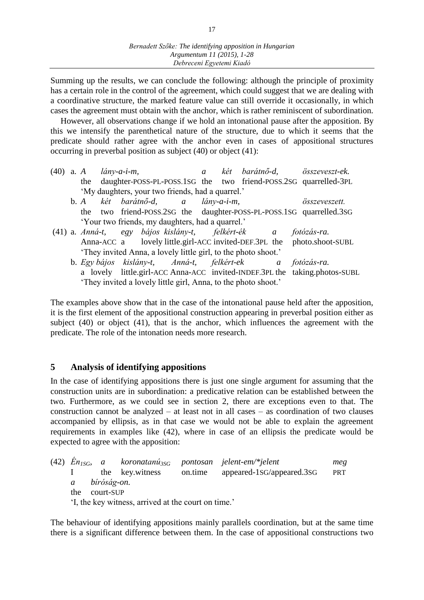Summing up the results, we can conclude the following: although the principle of proximity has a certain role in the control of the agreement, which could suggest that we are dealing with a coordinative structure, the marked feature value can still override it occasionally, in which cases the agreement must obtain with the anchor, which is rather reminiscent of subordination.

However, all observations change if we hold an intonational pause after the apposition. By this we intensify the parenthetical nature of the structure, due to which it seems that the predicate should rather agree with the anchor even in cases of appositional structures occurring in preverbal position as subject (40) or object (41):

- (40) a. *A lány-a-i-m, a két barátnő-d, összeveszt-ek.* the daughter-POSS-PL-POSS.1SG the two friend-POSS.2SG quarrelled-3PL 'My daughters, your two friends, had a quarrel.'
	- b. *A két barátnő-d, a lány-a-i-m, összeveszett.* the two friend-POSS.2SG the daughter-POSS-PL-POSS.1SG quarrelled.3SG 'Your two friends, my daughters, had a quarrel.'
- (41) a. *Anná-t, egy bájos kislány-t, felkért-ék a fotózás-ra.* Anna-ACC a lovely little.girl-ACC invited-DEF.3PL the photo.shoot-SUBL 'They invited Anna, a lovely little girl, to the photo shoot.'
	- b. *Egy bájos kislány-t, Anná-t, felkért-ek a fotózás-ra.*  a lovely little.girl-ACC Anna-ACC invited-INDEF.3PL the taking.photos-SUBL 'They invited a lovely little girl, Anna, to the photo shoot.'

The examples above show that in the case of the intonational pause held after the apposition, it is the first element of the appositional construction appearing in preverbal position either as subject (40) or object (41), that is the anchor, which influences the agreement with the predicate. The role of the intonation needs more research.

# **5 Analysis of identifying appositions**

In the case of identifying appositions there is just one single argument for assuming that the construction units are in subordination: a predicative relation can be established between the two. Furthermore, as we could see in section 2, there are exceptions even to that. The construction cannot be analyzed – at least not in all cases – as coordination of two clauses accompanied by ellipsis, as in that case we would not be able to explain the agreement requirements in examples like (42), where in case of an ellipsis the predicate would be expected to agree with the apposition:

|               |           |                                                     | (42) $En_{ISG}$ , a koronatanú <sub>3SG</sub> pontosan jelent-em/*jelent | meg        |
|---------------|-----------|-----------------------------------------------------|--------------------------------------------------------------------------|------------|
|               |           | the key.witness                                     | on.time appeared-1sG/appeared.3sG                                        | <b>PRT</b> |
| a bíróság-on. |           |                                                     |                                                                          |            |
| the           | court-SUP |                                                     |                                                                          |            |
|               |           | 'I, the key witness, arrived at the court on time.' |                                                                          |            |

The behaviour of identifying appositions mainly parallels coordination, but at the same time there is a significant difference between them. In the case of appositional constructions two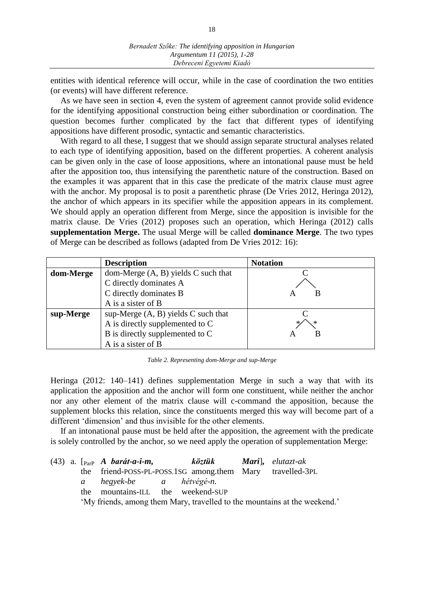entities with identical reference will occur, while in the case of coordination the two entities (or events) will have different reference.

As we have seen in section 4, even the system of agreement cannot provide solid evidence for the identifying appositional construction being either subordination or coordination. The question becomes further complicated by the fact that different types of identifying appositions have different prosodic, syntactic and semantic characteristics.

With regard to all these, I suggest that we should assign separate structural analyses related to each type of identifying apposition, based on the different properties. A coherent analysis can be given only in the case of loose appositions, where an intonational pause must be held after the apposition too, thus intensifying the parenthetic nature of the construction. Based on the examples it was apparent that in this case the predicate of the matrix clause must agree with the anchor. My proposal is to posit a parenthetic phrase (De Vries 2012, Heringa 2012), the anchor of which appears in its specifier while the apposition appears in its complement. We should apply an operation different from Merge, since the apposition is invisible for the matrix clause. De Vries (2012) proposes such an operation, which Heringa (2012) calls **supplementation Merge.** The usual Merge will be called **dominance Merge**. The two types of Merge can be described as follows (adapted from De Vries 2012: 16):

|           | <b>Description</b>                    | <b>Notation</b> |
|-----------|---------------------------------------|-----------------|
| dom-Merge | dom-Merge $(A, B)$ yields C such that |                 |
|           | C directly dominates A                |                 |
|           | C directly dominates B                |                 |
|           | A is a sister of B                    |                 |
| sup-Merge | sup-Merge $(A, B)$ yields C such that |                 |
|           | A is directly supplemented to C       |                 |
|           | B is directly supplemented to C       | В               |
|           | A is a sister of B                    |                 |

*Table 2. Representing dom-Merge and sup-Merge*

Heringa (2012: 140–141) defines supplementation Merge in such a way that with its application the apposition and the anchor will form one constituent, while neither the anchor nor any other element of the matrix clause will c-command the apposition, because the supplement blocks this relation, since the constituents merged this way will become part of a different 'dimension' and thus invisible for the other elements.

If an intonational pause must be held after the apposition, the agreement with the predicate is solely controlled by the anchor, so we need apply the operation of supplementation Merge:

|  | (43) a. $\lceil_{\text{ParP}} \; A \; \text{barát-a-i-m},$ |  | <b>köztük Mari</b> , elutazt-ak |                                                                           |
|--|------------------------------------------------------------|--|---------------------------------|---------------------------------------------------------------------------|
|  | the friend-POSS-PL-POSS.1SG among.them Mary travelled-3PL  |  |                                 |                                                                           |
|  | a hegyek-be a hétvégé-n.                                   |  |                                 |                                                                           |
|  | the mountains-ILL the weekend-SUP                          |  |                                 |                                                                           |
|  |                                                            |  |                                 | 'My friends, among them Mary, travelled to the mountains at the weekend.' |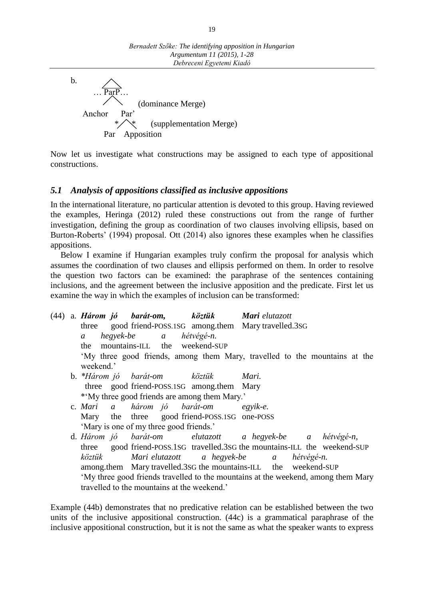b. Par<sub>F</sub> (dominance Merge) Anchor Par' (supplementation Merge) Par Apposition

Now let us investigate what constructions may be assigned to each type of appositional constructions.

# *5.1 Analysis of appositions classified as inclusive appositions*

In the international literature, no particular attention is devoted to this group. Having reviewed the examples, Heringa (2012) ruled these constructions out from the range of further investigation, defining the group as coordination of two clauses involving ellipsis, based on Burton-Roberts' (1994) proposal. Ott (2014) also ignores these examples when he classifies appositions.

Below I examine if Hungarian examples truly confirm the proposal for analysis which assumes the coordination of two clauses and ellipsis performed on them. In order to resolve the question two factors can be examined: the paraphrase of the sentences containing inclusions, and the agreement between the inclusive apposition and the predicate. First let us examine the way in which the examples of inclusion can be transformed:

| (44) |                | a. Három jó barát-om, köztük Mari elutazott   |                                                                                   |  |
|------|----------------|-----------------------------------------------|-----------------------------------------------------------------------------------|--|
|      |                |                                               | three good friend-POSS.1SG among.them Mary travelled.3SG                          |  |
|      | $\mathfrak{a}$ | hegyek-be a hétvégé-n.                        |                                                                                   |  |
|      | the            | mountains-ILL the weekend-SUP                 |                                                                                   |  |
|      |                |                                               | 'My three good friends, among them Mary, travelled to the mountains at the        |  |
|      | weekend.'      |                                               |                                                                                   |  |
|      |                | b. *Három jó barát-om köztük                  | Mari.                                                                             |  |
|      |                | three good friend-POSS.1SG among.them Mary    |                                                                                   |  |
|      |                | *'My three good friends are among them Mary.' |                                                                                   |  |
|      |                | c. Mari a három jó barát-om egyik-e.          |                                                                                   |  |
|      |                | Mary the three good friend-POSS.1SG one-POSS  |                                                                                   |  |
|      |                | 'Mary is one of my three good friends.'       |                                                                                   |  |
|      |                |                                               | d. Három jó barát-om elutazott a hegyek-be a hétvégé-n,                           |  |
|      |                |                                               | three good friend-POSS.1SG travelled.3SG the mountains-ILL the weekend-SUP        |  |
|      | köztük         |                                               | Mari elutazott a hegyek-be a hétvégé-n.                                           |  |
|      |                |                                               | among.them Mary travelled.3SG the mountains-ILL the weekend-SUP                   |  |
|      |                |                                               | 'My three good friends travelled to the mountains at the weekend, among them Mary |  |
|      |                | travelled to the mountains at the weekend.'   |                                                                                   |  |

Example (44b) demonstrates that no predicative relation can be established between the two units of the inclusive appositional construction. (44c) is a grammatical paraphrase of the inclusive appositional construction, but it is not the same as what the speaker wants to express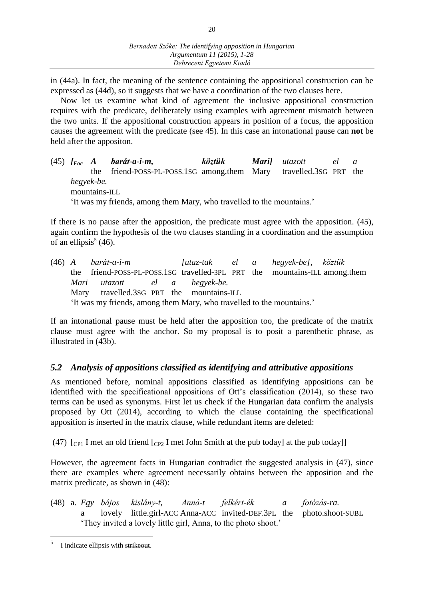in (44a). In fact, the meaning of the sentence containing the appositional construction can be expressed as (44d), so it suggests that we have a coordination of the two clauses here.

Now let us examine what kind of agreement the inclusive appositional construction requires with the predicate, deliberately using examples with agreement mismatch between the two units. If the appositional construction appears in position of a focus, the apposition causes the agreement with the predicate (see 45). In this case an intonational pause can **not** be held after the appositon.

(45) *[Foc A barát-a-i-m, köztük Mari] utazott el a* the friend-POSS-PL-POSS.1SG among.them Mary travelled.3SG PRT the *hegyek-be.* mountains-ILL 'It was my friends, among them Mary, who travelled to the mountains.'

If there is no pause after the apposition, the predicate must agree with the apposition. (45), again confirm the hypothesis of the two clauses standing in a coordination and the assumption of an ellipsis<sup>5</sup> (46).

(46) *A barát-a-i-m [utaz-tak el a hegyek-be], köztük*  the friend-POSS-PL-POSS.1SG travelled-3PL PRT the mountains-ILL among.them *Mari utazott el a hegyek-be.* Mary travelled.3SG PRT the mountains-ILL 'It was my friends, among them Mary, who travelled to the mountains.'

If an intonational pause must be held after the apposition too, the predicate of the matrix clause must agree with the anchor. So my proposal is to posit a parenthetic phrase, as illustrated in (43b).

# *5.2 Analysis of appositions classified as identifying and attributive appositions*

As mentioned before, nominal appositions classified as identifying appositions can be identified with the specificational appositions of Ott's classification (2014), so these two terms can be used as synonyms. First let us check if the Hungarian data confirm the analysis proposed by Ott (2014), according to which the clause containing the specificational apposition is inserted in the matrix clause, while redundant items are deleted:

(47)  $[CP_1]$  I met an old friend  $[CP_2]$  <del>I met</del> John Smith at the pub today] at the pub today]

However, the agreement facts in Hungarian contradict the suggested analysis in (47), since there are examples where agreement necessarily obtains between the apposition and the matrix predicate, as shown in (48):

(48) a. *Egy bájos kislány-t, Anná-t felkért-ék a fotózás-ra.* a lovely little.girl-ACC Anna-ACC invited-DEF.3PL the photo.shoot-SUBL 'They invited a lovely little girl, Anna, to the photo shoot.'

 $\overline{a}$ 

<sup>5</sup> I indicate ellipsis with strikeout.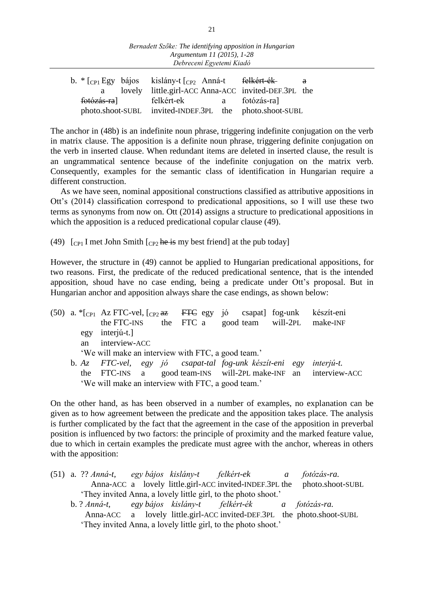| Bernadett Szőke: The identifying apposition in Hungarian |  |
|----------------------------------------------------------|--|
| Argumentum 11 (2015), 1-28                               |  |
| Debreceni Egyetemi Kiadó                                 |  |

|             | b. $\kappa$ $\lceil_{\text{CP1}}$ Egy bájos kislány-t $\lceil_{\text{CP2}}$ Anná-t <del>felkért-ék</del> |  | a a |
|-------------|----------------------------------------------------------------------------------------------------------|--|-----|
|             | lovely little.girl-ACC Anna-ACC invited-DEF.3PL the                                                      |  |     |
| fotózás-ra] | felkért-ek a fotózás-ra]                                                                                 |  |     |
|             | photo.shoot-SUBL invited-INDEF.3PL the photo.shoot-SUBL                                                  |  |     |

The anchor in (48b) is an indefinite noun phrase, triggering indefinite conjugation on the verb in matrix clause. The apposition is a definite noun phrase, triggering definite conjugation on the verb in inserted clause. When redundant items are deleted in inserted clause, the result is an ungrammatical sentence because of the indefinite conjugation on the matrix verb. Consequently, examples for the semantic class of identification in Hungarian require a different construction.

As we have seen, nominal appositional constructions classified as attributive appositions in Ott's (2014) classification correspond to predicational appositions, so I will use these two terms as synonyms from now on. Ott (2014) assigns a structure to predicational appositions in which the apposition is a reduced predicational copular clause (49).

(49)  $\lceil$  C<sub>P1</sub> I met John Smith  $\lceil$  C<sub>P2</sub> he is my best friend at the pub today

However, the structure in (49) cannot be applied to Hungarian predicational appositions, for two reasons. First, the predicate of the reduced predicational sentence, that is the intended apposition, shoud have no case ending, being a predicate under Ott's proposal. But in Hungarian anchor and apposition always share the case endings, as shown below:

|  |     | (50) a. $\text{*}$ [cp1 Az FTC-vel, [cp2 az FTC egy jó csapat] fog-unk készít-eni |  |  |                                                                |
|--|-----|-----------------------------------------------------------------------------------|--|--|----------------------------------------------------------------|
|  |     | the FTC-INS the FTC a good team will-2PL make-INF                                 |  |  |                                                                |
|  | egy | interjú-t.]                                                                       |  |  |                                                                |
|  | an  | interview-ACC                                                                     |  |  |                                                                |
|  |     | 'We will make an interview with FTC, a good team.'                                |  |  |                                                                |
|  |     | b. Az FTC-vel, egy jó csapat-tal fog-unk készít-eni egy                           |  |  | interjú-t.                                                     |
|  |     |                                                                                   |  |  | the FTC-INS a good team-INS will-2PL make-INF an interview-ACC |
|  |     | 'We will make an interview with FTC, a good team.'                                |  |  |                                                                |
|  |     |                                                                                   |  |  |                                                                |

On the other hand, as has been observed in a number of examples, no explanation can be given as to how agreement between the predicate and the apposition takes place. The analysis is further complicated by the fact that the agreement in the case of the apposition in preverbal position is influenced by two factors: the principle of proximity and the marked feature value, due to which in certain examples the predicate must agree with the anchor, whereas in others with the apposition:

|  |  |  | (51) a. ?? Anná-t, egy bájos kislány-t felkért-ek a fotózás-ra.          |  |
|--|--|--|--------------------------------------------------------------------------|--|
|  |  |  | Anna-ACC a lovely little.girl-ACC invited-INDEF.3PL the photo.shoot-SUBL |  |
|  |  |  | 'They invited Anna, a lovely little girl, to the photo shoot.'           |  |
|  |  |  | b. ? Anná-t, egy bájos kislány-t felkért-ék a fotózás-ra.                |  |
|  |  |  | Anna-ACC a lovely little.girl-ACC invited-DEF.3PL the photo.shoot-SUBL   |  |
|  |  |  | 'They invited Anna, a lovely little girl, to the photo shoot.'           |  |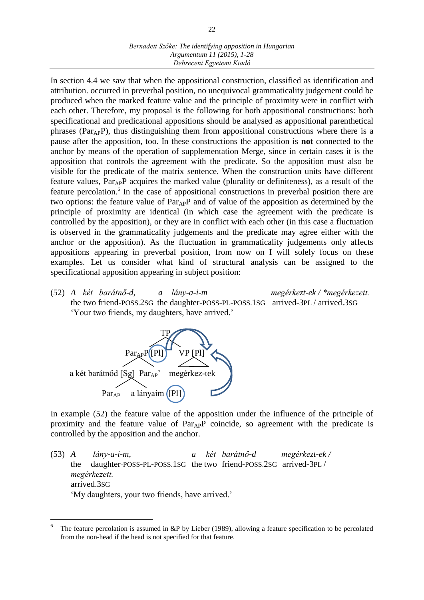### *Bernadett Szőke: The identifying apposition in Hungarian Argumentum 11 (2015), 1-28 Debreceni Egyetemi Kiadó*

In section 4.4 we saw that when the appositional construction, classified as identification and attribution. occurred in preverbal position, no unequivocal grammaticality judgement could be produced when the marked feature value and the principle of proximity were in conflict with each other. Therefore, my proposal is the following for both appositional constructions: both specificational and predicational appositions should be analysed as appositional parenthetical phrases ( $Par_{AP}P$ ), thus distinguishing them from appositional constructions where there is a pause after the apposition, too. In these constructions the apposition is **not** connected to the anchor by means of the operation of supplementation Merge, since in certain cases it is the apposition that controls the agreement with the predicate. So the apposition must also be visible for the predicate of the matrix sentence. When the construction units have different feature values, ParAPP acquires the marked value (plurality or definiteness), as a result of the feature percolation.<sup>6</sup> In the case of appositional constructions in preverbal position there are two options: the feature value of  $Par_{AP}P$  and of value of the apposition as determined by the principle of proximity are identical (in which case the agreement with the predicate is controlled by the apposition), or they are in conflict with each other (in this case a fluctuation is observed in the grammaticality judgements and the predicate may agree either with the anchor or the apposition). As the fluctuation in grammaticality judgements only affects appositions appearing in preverbal position, from now on I will solely focus on these examples. Let us consider what kind of structural analysis can be assigned to the specificational apposition appearing in subject position:

(52) *A két barátnő-d, a lány-a-i-m megérkezt-ek / \*megérkezett.* the two friend-POSS.2SG the daughter-POSS-PL-POSS.1SG arrived-3PL / arrived.3SG 'Your two friends, my daughters, have arrived.'



 $\overline{a}$ 

In example (52) the feature value of the apposition under the influence of the principle of proximity and the feature value of Par<sub>AP</sub>P coincide, so agreement with the predicate is controlled by the apposition and the anchor.

(53) *A lány-a-i-m, a két barátnő-d megérkezt-ek /* the daughter-POSS-PL-POSS.1SG the two friend-POSS.2SG arrived-3PL / *megérkezett.* arrived.3SG 'My daughters, your two friends, have arrived.'

<sup>6</sup> The feature percolation is assumed in &P by Lieber (1989), allowing a feature specification to be percolated from the non-head if the head is not specified for that feature.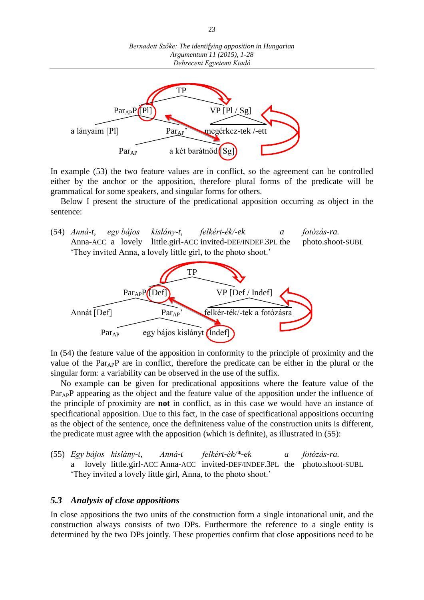

In example (53) the two feature values are in conflict, so the agreement can be controlled either by the anchor or the apposition, therefore plural forms of the predicate will be grammatical for some speakers, and singular forms for others.

Below I present the structure of the predicational apposition occurring as object in the sentence:

(54) *Anná-t, egy bájos kislány-t, felkért-ék/-ek a fotózás-ra.* Anna-ACC a lovely little.girl-ACC invited-DEF/INDEF.3PL the photo.shoot-SUBL 'They invited Anna, a lovely little girl, to the photo shoot.'



In (54) the feature value of the apposition in conformity to the principle of proximity and the value of the  $Par_{AP}P$  are in conflict, therefore the predicate can be either in the plural or the singular form: a variability can be observed in the use of the suffix.

No example can be given for predicational appositions where the feature value of the Par<sub>AP</sub>P appearing as the object and the feature value of the apposition under the influence of the principle of proximity are **not** in conflict, as in this case we would have an instance of specificational apposition. Due to this fact, in the case of specificational appositions occurring as the object of the sentence, once the definiteness value of the construction units is different, the predicate must agree with the apposition (which is definite), as illustrated in (55):

(55) *Egy bájos kislány-t, Anná-t felkért-ék/\*-ek a fotózás-ra.*  a lovely little.girl-ACC Anna-ACC invited-DEF/INDEF.3PL the photo.shoot-SUBL 'They invited a lovely little girl, Anna, to the photo shoot.'

#### *5.3 Analysis of close appositions*

In close appositions the two units of the construction form a single intonational unit, and the construction always consists of two DPs. Furthermore the reference to a single entity is determined by the two DPs jointly. These properties confirm that close appositions need to be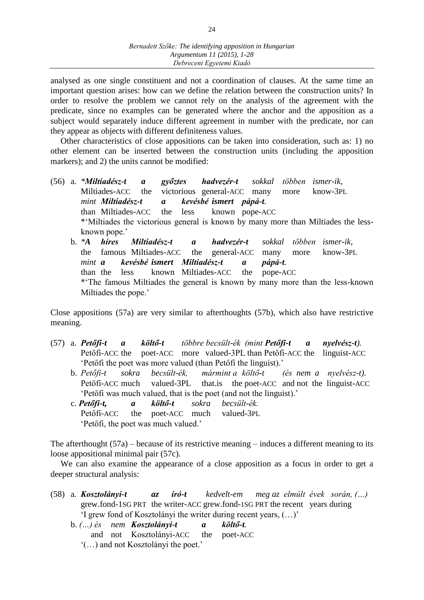analysed as one single constituent and not a coordination of clauses. At the same time an important question arises: how can we define the relation between the construction units? In order to resolve the problem we cannot rely on the analysis of the agreement with the predicate, since no examples can be generated where the anchor and the apposition as a subject would separately induce different agreement in number with the predicate, nor can they appear as objects with different definiteness values.

Other characteristics of close appositions can be taken into consideration, such as: 1) no other element can be inserted between the construction units (including the apposition markers); and 2) the units cannot be modified:

(56) a. *\*Miltiadész-t a győztes hadvezér-t sokkal többen ismer-ik,*  Miltiades-ACC the victorious general-ACC many more know-3PL *mint Miltiadész-t a kevésbé ismert pápá-t.*  than Miltiades-ACC the less known pope-ACC \*'Miltiades the victorious general is known by many more than Miltiades the lessknown pope.' b. *\*A híres Miltiadész-t a hadvezér-t sokkal többen ismer-ik,*  the famous Miltiades-ACC the general-ACC many more know-3PL *mint a kevésbé ismert Miltiadész-t a pápá-t.*  than the less known Miltiades-ACC the pope-ACC

\*'The famous Miltiades the general is known by many more than the less-known Miltiades the pope.'

Close appositions (57a) are very similar to afterthoughts (57b), which also have restrictive meaning.

- (57) a. *Petőfi-t a költő-t többre becsült-ék (mint Petőfi-t a nyelvész-t).* Petőfi-ACC the poet-ACC more valued-3PL than Petőfi-ACC the linguist-ACC 'Petőfi the poet was more valued (than Petőfi the linguist).'
	- b. *Petőfi-t sokra becsült-ék, mármint a költő-t (és nem a nyelvész-t).* Petőfi-ACC much valued-3PL that.is the poet-ACC and not the linguist-ACC 'Petőfi was much valued, that is the poet (and not the linguist).'
	- c. *Petőfi-t, a költő-t sokra becsült-ék.* Petőfi-ACC the poet-ACC much valued-3PL 'Petőfi, the poet was much valued.'

The afterthought (57a) – because of its restrictive meaning – induces a different meaning to its loose appositional minimal pair (57c).

We can also examine the appearance of a close apposition as a focus in order to get a deeper structural analysis:

- (58) a. *Kosztolányi-t az író-t kedvelt-em meg az elmúlt évek során, (…)* grew.fond-1SG PRT the writer-ACC grew.fond-1SG PRT the recent years during 'I grew fond of Kosztolányi the writer during recent years, (…)'
	- b. *(…) és nem Kosztolányi-t a költő-t.* and not Kosztolányi-ACC the poet-ACC '(…) and not Kosztolányi the poet.'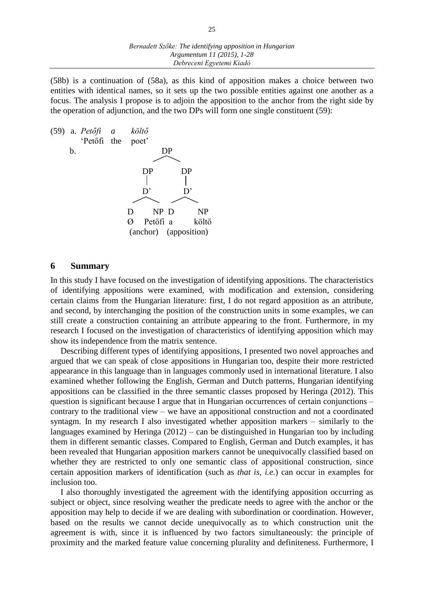(58b) is a continuation of (58a), as this kind of apposition makes a choice between two entities with identical names, so it sets up the two possible entities against one another as a focus. The analysis I propose is to adjoin the apposition to the anchor from the right side by the operation of adjunction, and the two DPs will form one single constituent (59):

|    | $(59)$ a. <i>Petőfi a</i> |   | költő                 |                 |                       |
|----|---------------------------|---|-----------------------|-----------------|-----------------------|
|    | 'Petőfi the poet'         |   |                       |                 |                       |
| b. |                           |   |                       | DР              |                       |
|    |                           |   |                       |                 |                       |
|    |                           |   | DP                    |                 | DР                    |
|    |                           |   |                       |                 |                       |
|    |                           |   | $\mathbf{D}^{\prime}$ |                 | D,                    |
|    |                           |   |                       |                 |                       |
|    |                           | D |                       | NP <sub>D</sub> | NP                    |
|    |                           | Ø |                       | Petőfi a        | költő                 |
|    |                           |   |                       |                 | (anchor) (apposition) |

#### **6 Summary**

In this study I have focused on the investigation of identifying appositions. The characteristics of identifying appositions were examined, with modification and extension, considering certain claims from the Hungarian literature: first, I do not regard apposition as an attribute, and second, by interchanging the position of the construction units in some examples, we can still create a construction containing an attribute appearing to the front. Furthermore, in my research I focused on the investigation of characteristics of identifying apposition which may show its independence from the matrix sentence.

Describing different types of identifying appositions, I presented two novel approaches and argued that we can speak of close appositions in Hungarian too, despite their more restricted appearance in this language than in languages commonly used in international literature. I also examined whether following the English, German and Dutch patterns, Hungarian identifying appositions can be classified in the three semantic classes proposed by Heringa (2012). This question is significant because I argue that in Hungarian occurrences of certain conjunctions – contrary to the traditional view – we have an appositional construction and not a coordinated syntagm. In my research I also investigated whether apposition markers – similarly to the languages examined by Heringa (2012) – can be distinguished in Hungarian too by including them in different semantic classes. Compared to English, German and Dutch examples, it has been revealed that Hungarian apposition markers cannot be unequivocally classified based on whether they are restricted to only one semantic class of appositional construction, since certain apposition markers of identification (such as *that is, i.e.*) can occur in examples for inclusion too.

I also thoroughly investigated the agreement with the identifying apposition occurring as subject or object, since resolving weather the predicate needs to agree with the anchor or the apposition may help to decide if we are dealing with subordination or coordination. However, based on the results we cannot decide unequivocally as to which construction unit the agreement is with, since it is influenced by two factors simultaneously: the principle of proximity and the marked feature value concerning plurality and definiteness. Furthermore, I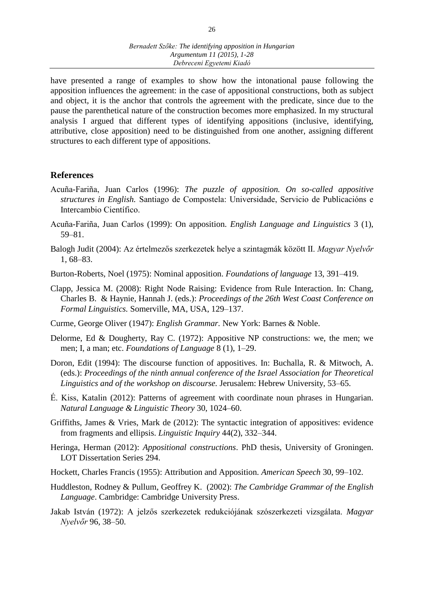have presented a range of examples to show how the intonational pause following the apposition influences the agreement: in the case of appositional constructions, both as subject and object, it is the anchor that controls the agreement with the predicate, since due to the pause the parenthetical nature of the construction becomes more emphasized. In my structural analysis I argued that different types of identifying appositions (inclusive, identifying, attributive, close apposition) need to be distinguished from one another, assigning different structures to each different type of appositions.

# **References**

- Acuña-Fariña, Juan Carlos (1996): *The puzzle of apposition. On so-called appositive structures in English.* Santiago de Compostela: Universidade, Servicio de Publicacións e Intercambio Científico.
- Acuña-Fariña, Juan Carlos (1999): On apposition. *English Language and Linguistics* 3 (1), 59–81.
- Balogh Judit (2004): Az értelmezős szerkezetek helye a szintagmák között II. *Magyar Nyelvőr* 1, 68–83.
- Burton-Roberts, Noel (1975): Nominal apposition. *Foundations of language* 13, 391–419.
- Clapp, Jessica M. (2008): Right Node Raising: Evidence from Rule Interaction. In: Chang, Charles B. & Haynie, Hannah J. (eds.): *Proceedings of the 26th West Coast Conference on Formal Linguistics.* Somerville, MA, USA, 129–137.
- Curme, George Oliver (1947): *English Grammar.* New York: Barnes & Noble.
- Delorme, Ed & Dougherty, Ray C. (1972): Appositive NP constructions: we, the men; we men; I, a man; etc. *Foundations of Language* 8 (1), 1–29.
- Doron, Edit (1994): The discourse function of appositives. In: Buchalla, R. & Mitwoch, A. (eds.): *Proceedings of the ninth annual conference of the Israel Association for Theoretical Linguistics and of the workshop on discourse.* Jerusalem: Hebrew University*,* 53–65.
- É. Kiss, Katalin (2012): Patterns of agreement with coordinate noun phrases in Hungarian. *Natural Language & Linguistic Theory* 30, 1024–60.
- Griffiths, James & Vries, Mark de (2012): The syntactic integration of appositives: evidence from fragments and ellipsis. *Linguistic Inquiry* 44(2), 332–344.
- Heringa, Herman (2012): *Appositional constructions*. PhD thesis, University of Groningen. LOT Dissertation Series 294.
- Hockett, Charles Francis (1955): Attribution and Apposition. *American Speech* 30, 99–102.
- Huddleston, Rodney & Pullum, Geoffrey K. (2002): *The Cambridge Grammar of the English Language*. Cambridge: Cambridge University Press.
- Jakab István (1972): A jelzős szerkezetek redukciójának szószerkezeti vizsgálata. *Magyar Nyelvőr* 96, 38–50.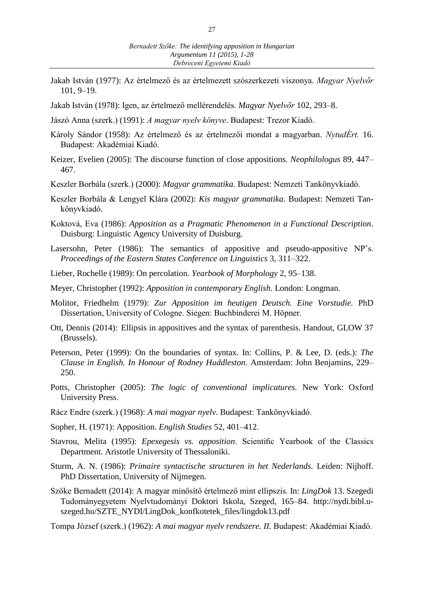- Jakab István (1977): Az értelmező és az értelmezett szószerkezeti viszonya. *Magyar Nyelvőr* 101, 9–19.
- Jakab István (1978): Igen, az értelmező mellérendelés. *Magyar Nyelvőr* 102, 293–8.
- Jászó Anna (szerk.) (1991): *A magyar nyelv könyve*. Budapest: Trezor Kiadó.
- Károly Sándor (1958): Az értelmező és az értelmezői mondat a magyarban. *NytudÉrt.* 16. Budapest: Akadémiai Kiadó.
- Keizer, Evelien (2005): The discourse function of close appositions. *Neophilologus* 89, 447– 467.
- Keszler Borbála (szerk.) (2000): *Magyar grammatika*. Budapest: Nemzeti Tankönyvkiadó.
- Keszler Borbála & Lengyel Klára (2002): *Kis magyar grammatika*. Budapest: Nemzeti Tankönyvkiadó.
- Koktová, Eva (1986): *Apposition as a Pragmatic Phenomenon in a Functional Description*. Duisburg: Linguistic Agency University of Duisburg.
- Lasersohn, Peter (1986): The semantics of appositive and pseudo-appositive NP's. *Proceedings of the Eastern States Conference on Linguistics* 3, 311–322.
- Lieber, Rochelle (1989): On percolation. *Yearbook of Morphology* 2, 95–138.
- Meyer, Christopher (1992): *Apposition in contemporary English.* London: Longman.
- Molitor, Friedhelm (1979): *Zur Apposition im heutigen Deutsch. Eine Vorstudie.* PhD Dissertation, University of Cologne. Siegen: Buchbinderei M. Höpner.
- Ott, Dennis (2014): Ellipsis in appositives and the syntax of parenthesis. Handout, GLOW 37 (Brussels).
- Peterson, Peter (1999): On the boundaries of syntax. In: Collins, P. & Lee, D. (eds.): *The Clause in English. In Honour of Rodney Huddleston*. Amsterdam: John Benjamins, 229– 250.
- Potts, Christopher (2005): *The logic of conventional implicatures.* New York: Oxford University Press.
- Rácz Endre (szerk.) (1968): *A mai magyar nyelv*. Budapest: Tankönyvkiadó.
- Sopher, H. (1971): Apposition. *English Studies* 52, 401–412.
- Stavrou, Melita (1995): *Epexegesis vs. apposition*. Scientific Yearbook of the Classics Department. Aristotle University of Thessaloniki.
- Sturm, A. N. (1986): *Primaire syntactische structuren in het Nederlands.* Leiden: Nijhoff. PhD Dissertation, University of Nijmegen.
- Szőke Bernadett (2014): A magyar minősítő értelmező mint ellipszis. In: *LingDok* 13. Szegedi Tudományegyetem Nyelvtudományi Doktori Iskola, Szeged, 165–84. http://nydi.bibl.uszeged.hu/SZTE\_NYDI/LingDok\_konfkotetek\_files/lingdok13.pdf
- Tompa József (szerk.) (1962): *A mai magyar nyelv rendszere. II.* Budapest: Akadémiai Kiadó.